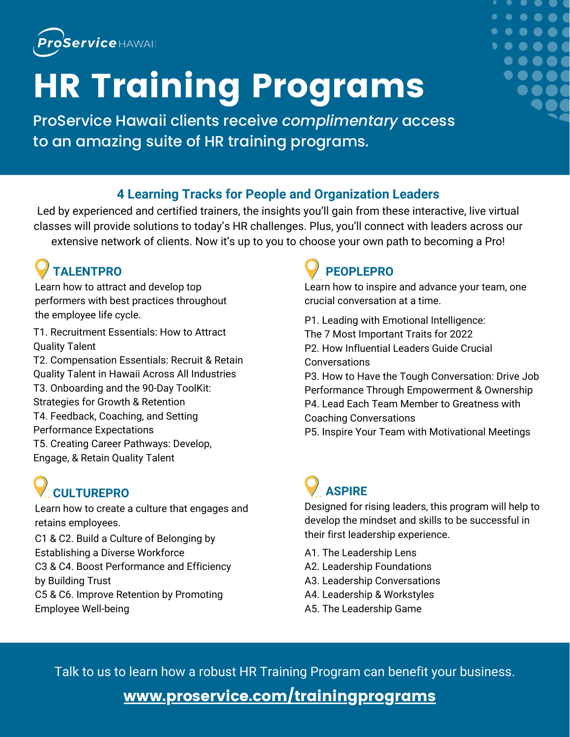

# HR Training Programs

ProService Hawaii clients receive *complimentary* access to an amazing suite of HR training programs.

### **4 Learning Tracks for People and Organization Leaders**

Led by experienced and certified trainers, the insights you'll gain from these interactive, live virtual classes will provide solutions to today's HR challenges. Plus, you'll connect with leaders across our extensive network of clients. Now it's up to you to choose your own path to becoming a Pro!

## **TALENTPRO**

Learn how to attract and develop top performers with best practices throughout the employee life cycle.

T1. Recruitment Essentials: How to Attract Quality Talent

T2. Compensation Essentials: Recruit & Retain Quality Talent in Hawaii Across All Industries T3. Onboarding and the 90-Day ToolKit: Strategies for Growth & Retention T4. Feedback, Coaching, and Setting Performance Expectations T5. Creating Career Pathways: Develop, Engage, & Retain Quality Talent

## **CULTUREPRO**

Learn how to create a culture that engages and retains employees. C1 & C2. Build a Culture of Belonging by Establishing a Diverse Workforce C3 & C4. Boost Performance and Efficiency by Building Trust C5 & C6. Improve Retention by Promoting Employee Well-being

### **PEOPLEPRO**

Learn how to inspire and advance your team, one crucial conversation at a time.

P1. Leading with Emotional Intelligence: The 7 Most Important Traits for 2022 P2. How Influential Leaders Guide Crucial Conversations P3. How to Have the Tough Conversation: Drive Job Performance Through Empowerment & Ownership P4. Lead Each Team Member to Greatness with Coaching Conversations

P5. Inspire Your Team with Motivational Meetings

## **ASPIRE**

Designed for rising leaders, this program will help to develop the mindset and skills to be successful in their first leadership experience.

- A1. The Leadership Lens
- A2. Leadership Foundations
- A3. Leadership Conversations
- A4. Leadership & Workstyles
- A5. The Leadership Game

Talk to us to learn how a robust HR Training Program can benefit your business.

### [www.proservice.com/trainingprograms](http://www.proservice.com/trainingprograms)